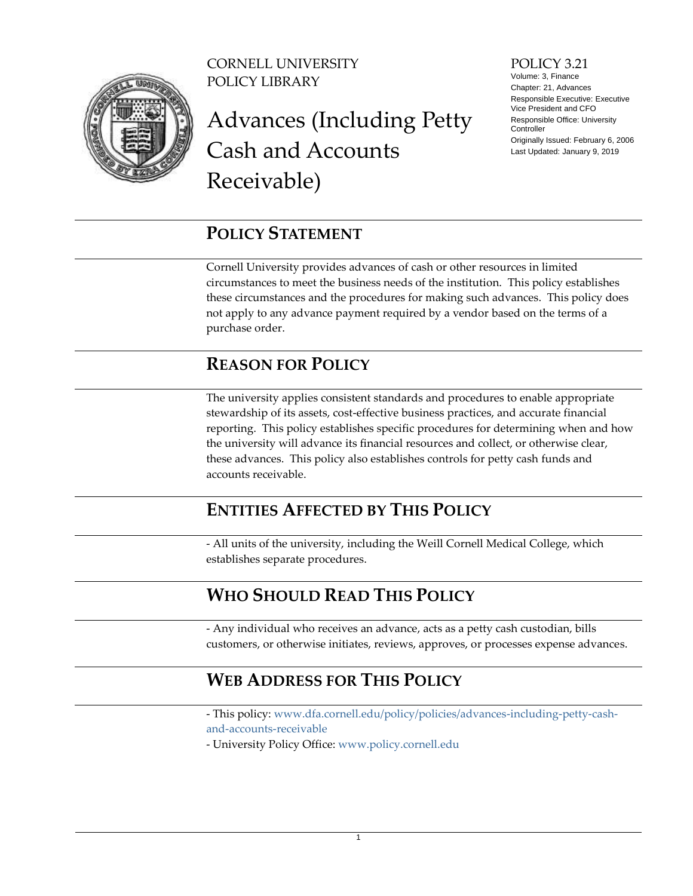

CORNELL UNIVERSITY POLICY LIBRARY

# Advances (Including Petty Cash and Accounts Receivable)

#### POLICY 3.21

Volume: 3, Finance Chapter: 21, Advances Responsible Executive: Executive Vice President and CFO Responsible Office: University Controller Originally Issued: February 6, 2006 Last Updated: January 9, 2019

### <span id="page-0-0"></span>**POLICY STATEMENT**

Cornell University provides advances of cash or other resources in limited circumstances to meet the business needs of the institution. This policy establishes these circumstances and the procedures for making such advances. This policy does not apply to any advance payment required by a vendor based on the terms of a purchase order.

### <span id="page-0-1"></span>**REASON FOR POLICY**

The university applies consistent standards and procedures to enable appropriate stewardship of its assets, cost-effective business practices, and accurate financial reporting. This policy establishes specific procedures for determining when and how the university will advance its financial resources and collect, or otherwise clear, these advances. This policy also establishes controls for petty cash funds and accounts receivable.

### <span id="page-0-2"></span>**ENTITIES AFFECTED BY THIS POLICY**

- All units of the university, including the Weill Cornell Medical College, which establishes separate procedures.

### <span id="page-0-3"></span>**WHO SHOULD READ THIS POLICY**

- Any individual who receives an advance, acts as a petty cash custodian, bills customers, or otherwise initiates, reviews, approves, or processes expense advances.

### <span id="page-0-4"></span>**WEB ADDRESS FOR THIS POLICY**

- This policy: [www.dfa.cornell.edu/policy/policies/advances-including-petty-cash](http://www.dfa.cornell.edu/policy/policies/advances-including-petty-cash-and-accounts-receivable)[and-accounts-receivable](http://www.dfa.cornell.edu/policy/policies/advances-including-petty-cash-and-accounts-receivable)

- University Policy Office: [www.policy.cornell.edu](http://www.policy.cornell.edu/)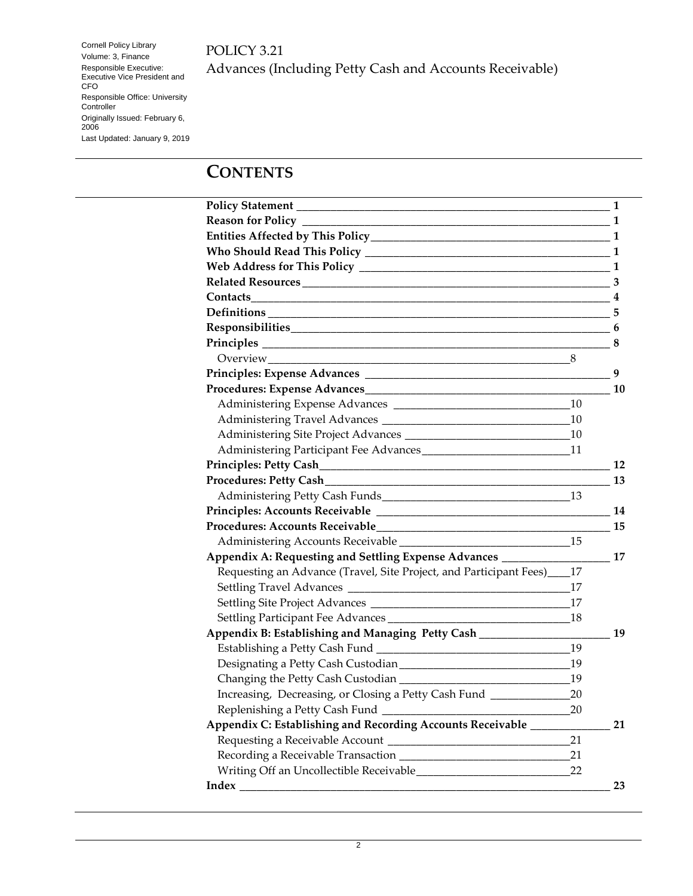POLICY 3.21

Advances (Including Petty Cash and Accounts Receivable)

**CONTENTS**

| Responsibilities 6<br>Principles 2012 2013 2014 12:30 12:30 12:30 12:30 12:30 12:30 12:30 12:30 12:30 12:30 12:30 12:30 12:30 12:30<br>Administering Participant Fee Advances__________________________________11<br>Appendix A: Requesting and Settling Expense Advances _______________________17<br>Requesting an Advance (Travel, Site Project, and Participant Fees)____17<br>18<br>Appendix B: Establishing and Managing Petty Cash __________________<br>19<br>Increasing, Decreasing, or Closing a Petty Cash Fund ______________<br>20<br>Replenishing a Petty Cash Fund _<br>20<br>Appendix C: Establishing and Recording Accounts Receivable _____<br>21<br>21<br>21<br>22<br>23 | 1 |
|---------------------------------------------------------------------------------------------------------------------------------------------------------------------------------------------------------------------------------------------------------------------------------------------------------------------------------------------------------------------------------------------------------------------------------------------------------------------------------------------------------------------------------------------------------------------------------------------------------------------------------------------------------------------------------------------|---|
|                                                                                                                                                                                                                                                                                                                                                                                                                                                                                                                                                                                                                                                                                             |   |
|                                                                                                                                                                                                                                                                                                                                                                                                                                                                                                                                                                                                                                                                                             |   |
|                                                                                                                                                                                                                                                                                                                                                                                                                                                                                                                                                                                                                                                                                             |   |
|                                                                                                                                                                                                                                                                                                                                                                                                                                                                                                                                                                                                                                                                                             |   |
|                                                                                                                                                                                                                                                                                                                                                                                                                                                                                                                                                                                                                                                                                             |   |
|                                                                                                                                                                                                                                                                                                                                                                                                                                                                                                                                                                                                                                                                                             |   |
|                                                                                                                                                                                                                                                                                                                                                                                                                                                                                                                                                                                                                                                                                             |   |
|                                                                                                                                                                                                                                                                                                                                                                                                                                                                                                                                                                                                                                                                                             |   |
|                                                                                                                                                                                                                                                                                                                                                                                                                                                                                                                                                                                                                                                                                             |   |
|                                                                                                                                                                                                                                                                                                                                                                                                                                                                                                                                                                                                                                                                                             |   |
|                                                                                                                                                                                                                                                                                                                                                                                                                                                                                                                                                                                                                                                                                             |   |
|                                                                                                                                                                                                                                                                                                                                                                                                                                                                                                                                                                                                                                                                                             |   |
|                                                                                                                                                                                                                                                                                                                                                                                                                                                                                                                                                                                                                                                                                             |   |
|                                                                                                                                                                                                                                                                                                                                                                                                                                                                                                                                                                                                                                                                                             |   |
|                                                                                                                                                                                                                                                                                                                                                                                                                                                                                                                                                                                                                                                                                             |   |
|                                                                                                                                                                                                                                                                                                                                                                                                                                                                                                                                                                                                                                                                                             |   |
|                                                                                                                                                                                                                                                                                                                                                                                                                                                                                                                                                                                                                                                                                             |   |
|                                                                                                                                                                                                                                                                                                                                                                                                                                                                                                                                                                                                                                                                                             |   |
|                                                                                                                                                                                                                                                                                                                                                                                                                                                                                                                                                                                                                                                                                             |   |
|                                                                                                                                                                                                                                                                                                                                                                                                                                                                                                                                                                                                                                                                                             |   |
|                                                                                                                                                                                                                                                                                                                                                                                                                                                                                                                                                                                                                                                                                             |   |
|                                                                                                                                                                                                                                                                                                                                                                                                                                                                                                                                                                                                                                                                                             |   |
|                                                                                                                                                                                                                                                                                                                                                                                                                                                                                                                                                                                                                                                                                             |   |
|                                                                                                                                                                                                                                                                                                                                                                                                                                                                                                                                                                                                                                                                                             |   |
|                                                                                                                                                                                                                                                                                                                                                                                                                                                                                                                                                                                                                                                                                             |   |
|                                                                                                                                                                                                                                                                                                                                                                                                                                                                                                                                                                                                                                                                                             |   |
|                                                                                                                                                                                                                                                                                                                                                                                                                                                                                                                                                                                                                                                                                             |   |
|                                                                                                                                                                                                                                                                                                                                                                                                                                                                                                                                                                                                                                                                                             |   |
|                                                                                                                                                                                                                                                                                                                                                                                                                                                                                                                                                                                                                                                                                             |   |
|                                                                                                                                                                                                                                                                                                                                                                                                                                                                                                                                                                                                                                                                                             |   |
|                                                                                                                                                                                                                                                                                                                                                                                                                                                                                                                                                                                                                                                                                             |   |
|                                                                                                                                                                                                                                                                                                                                                                                                                                                                                                                                                                                                                                                                                             |   |
|                                                                                                                                                                                                                                                                                                                                                                                                                                                                                                                                                                                                                                                                                             |   |
|                                                                                                                                                                                                                                                                                                                                                                                                                                                                                                                                                                                                                                                                                             |   |
|                                                                                                                                                                                                                                                                                                                                                                                                                                                                                                                                                                                                                                                                                             |   |
|                                                                                                                                                                                                                                                                                                                                                                                                                                                                                                                                                                                                                                                                                             |   |
|                                                                                                                                                                                                                                                                                                                                                                                                                                                                                                                                                                                                                                                                                             |   |
|                                                                                                                                                                                                                                                                                                                                                                                                                                                                                                                                                                                                                                                                                             |   |

Last Updated: January 9, 2019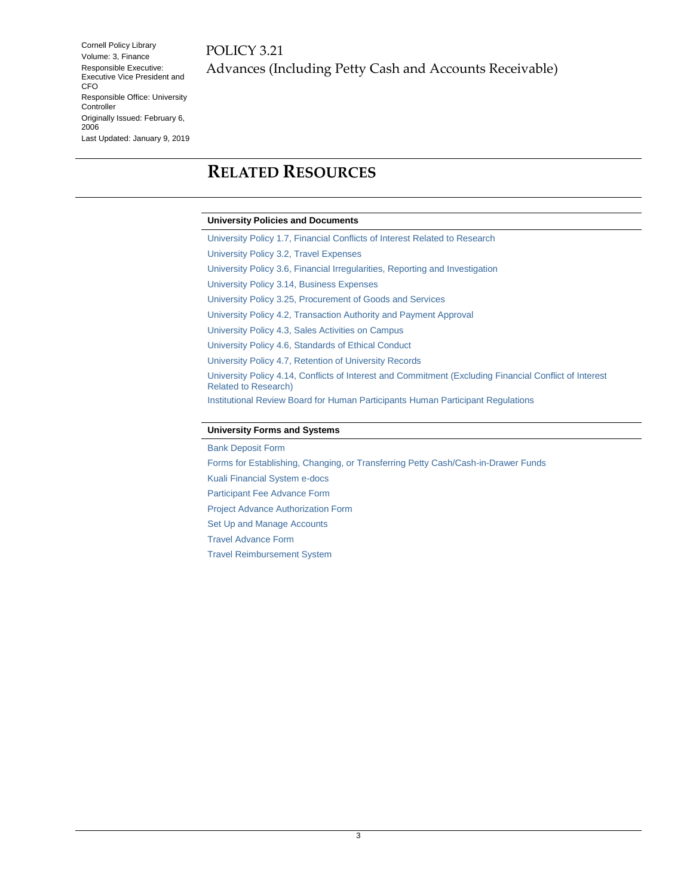### <span id="page-2-0"></span>**RELATED RESOURCES**

#### **University Policies and Documents**

[University Policy 1.7, Financial Conflicts of Interest Related to Research](https://www.dfa.cornell.edu/policy/policies/financial-conflict-interest) [University Policy 3.2, Travel Expenses](https://www.dfa.cornell.edu/policy/policies/travel-expenses) [University Policy 3.6, Financial Irregularities, Reporting and Investigation](https://www.dfa.cornell.edu/policy/policies/financial-irregularities-reporting-and-investigation) [University Policy 3.14, Business Expenses](https://www.dfa.cornell.edu/policy/policies/business-expenses) [University Policy 3.25, Procurement of Goods and Services](https://www.dfa.cornell.edu/policy/policies/procurement-goods-and-services) [University Policy 4.2, Transaction Authority and Payment Approval](https://www.dfa.cornell.edu/policy/policies/transaction-authority-and-payment-approval) [University Policy 4.3, Sales Activities on Campus](https://www.dfa.cornell.edu/policy/policies/sales-activities-campus) [University Policy 4.6, Standards of Ethical Conduct](https://www.dfa.cornell.edu/policy/policies/standards-ethical-conduct) [University Policy 4.7, Retention of University Records](https://www.dfa.cornell.edu/policy/policies/retention-university-records) [University Policy 4.14, Conflicts of Interest and Commitment \(Excluding Financial Conflict of Interest](https://www.dfa.cornell.edu/policy/policies/conflicts-interest-and-commitment-excluding-financial-conflict-interest-related)  [Related to Research\)](https://www.dfa.cornell.edu/policy/policies/conflicts-interest-and-commitment-excluding-financial-conflict-interest-related) [Institutional Review Board for Human Participants](https://www.irb.cornell.edu/regulations/regulations.htm) Human Participant Regulations

#### **University Forms and Systems**

[Bank Deposit Form](https://www.dfa.cornell.edu/accounting/topics/deposits) [Forms for Establishing, Changing, or Transferring Petty Cash/Cash-in-Drawer Funds](https://www.dfa.cornell.edu/accounting/topics/pettycash) [Kuali Financial System e-docs](https://www.dfa.cornell.edu/fis/guides/kfs) [Participant Fee Advance Form](https://www.dfa.cornell.edu/travel/payingfortravel/advances) [Project Advance Authorization Form](https://www.dfa.cornell.edu/travel/payingfortravel/advances) [Set Up and Manage Accounts](https://www.dfa.cornell.edu/fsaid/guides/kfs/setup) [Travel Advance Form](https://www.dfa.cornell.edu/travel/payingfortravel/advances) [Travel Reimbursement System](https://www.dfa.cornell.edu/travel/payingfortravel/reimbursement)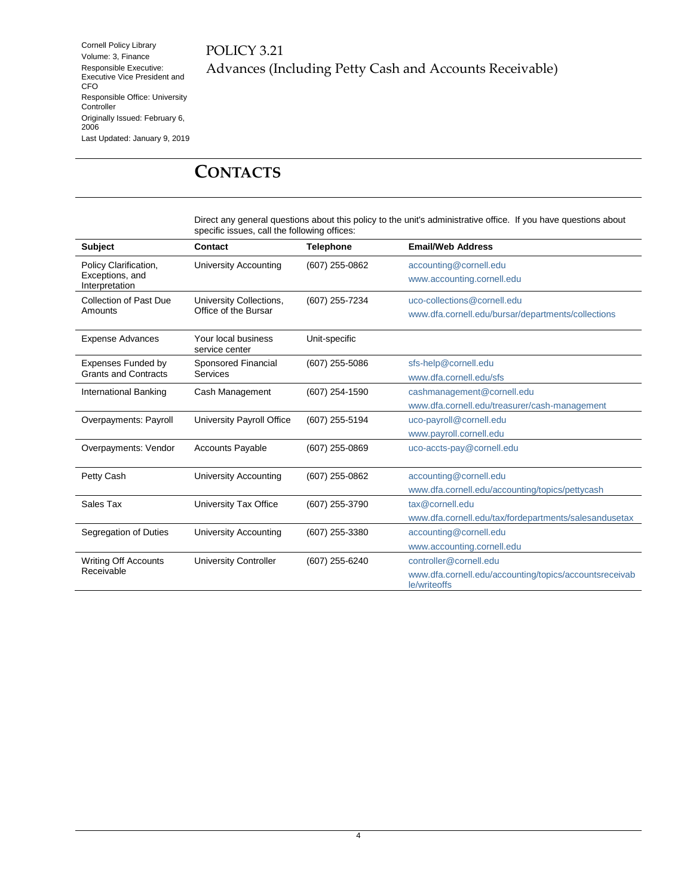#### POLICY 3.21 Advances (Including Petty Cash and Accounts Receivable)

### <span id="page-3-0"></span>**CONTACTS**

Direct any general questions about this policy to the unit's administrative office. If you have questions about specific issues, call the following offices:

| <b>Subject</b>                    | <b>Contact</b>                        | <b>Telephone</b> | <b>Email/Web Address</b>                                               |
|-----------------------------------|---------------------------------------|------------------|------------------------------------------------------------------------|
| Policy Clarification,             | <b>University Accounting</b>          | (607) 255-0862   | accounting@cornell.edu                                                 |
| Exceptions, and<br>Interpretation |                                       |                  | www.accounting.cornell.edu                                             |
| Collection of Past Due            | University Collections,               | (607) 255-7234   | uco-collections@cornell.edu                                            |
| Amounts                           | Office of the Bursar                  |                  | www.dfa.cornell.edu/bursar/departments/collections                     |
| <b>Expense Advances</b>           | Your local business<br>service center | Unit-specific    |                                                                        |
| <b>Expenses Funded by</b>         | Sponsored Financial                   | (607) 255-5086   | sfs-help@cornell.edu                                                   |
| <b>Grants and Contracts</b>       | <b>Services</b>                       |                  | www.dfa.cornell.edu/sfs                                                |
| <b>International Banking</b>      | Cash Management                       | (607) 254-1590   | cashmanagement@cornell.edu                                             |
|                                   |                                       |                  | www.dfa.cornell.edu/treasurer/cash-management                          |
| Overpayments: Payroll             | University Payroll Office             | (607) 255-5194   | uco-payroll@cornell.edu                                                |
|                                   |                                       |                  | www.payroll.cornell.edu                                                |
| Overpayments: Vendor              | <b>Accounts Payable</b>               | (607) 255-0869   | uco-accts-pay@cornell.edu                                              |
| Petty Cash                        | <b>University Accounting</b>          | (607) 255-0862   | accounting@cornell.edu                                                 |
|                                   |                                       |                  | www.dfa.cornell.edu/accounting/topics/pettycash                        |
| Sales Tax                         | University Tax Office                 | (607) 255-3790   | tax@cornell.edu                                                        |
|                                   |                                       |                  | www.dfa.cornell.edu/tax/fordepartments/salesandusetax                  |
| Segregation of Duties             | <b>University Accounting</b>          | (607) 255-3380   | accounting@cornell.edu                                                 |
|                                   |                                       |                  | www.accounting.cornell.edu                                             |
| <b>Writing Off Accounts</b>       | <b>University Controller</b>          | (607) 255-6240   | controller@cornell.edu                                                 |
| Receivable                        |                                       |                  | www.dfa.cornell.edu/accounting/topics/accountsreceivab<br>le/writeoffs |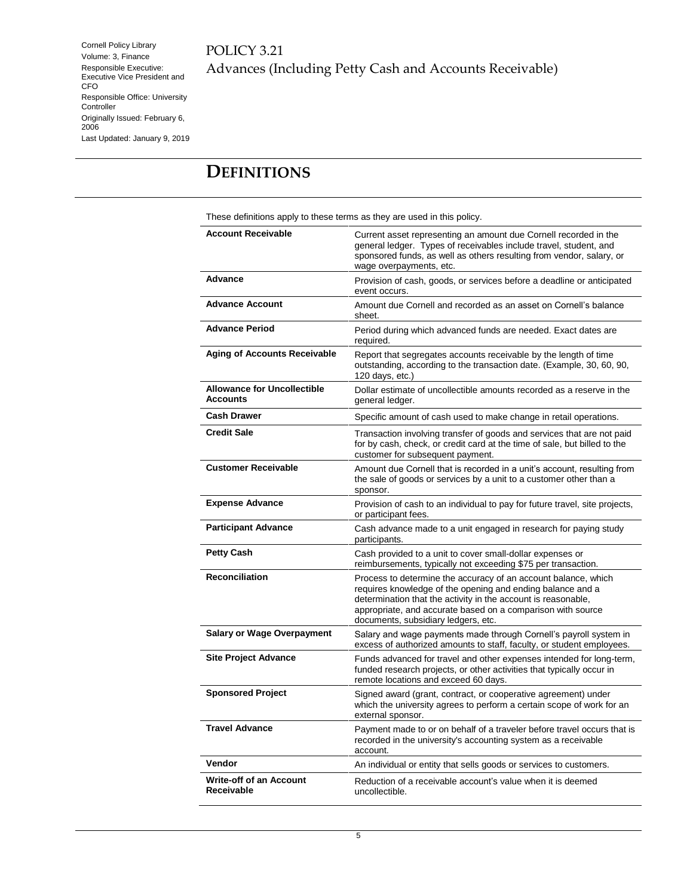POLICY 3.21 Advances (Including Petty Cash and Accounts Receivable)

### <span id="page-4-0"></span>**DEFINITIONS**

These definitions apply to these terms as they are used in this policy.

| <b>Account Receivable</b>                             | Current asset representing an amount due Cornell recorded in the<br>general ledger. Types of receivables include travel, student, and<br>sponsored funds, as well as others resulting from vendor, salary, or<br>wage overpayments, etc.                                                            |
|-------------------------------------------------------|-----------------------------------------------------------------------------------------------------------------------------------------------------------------------------------------------------------------------------------------------------------------------------------------------------|
| Advance                                               | Provision of cash, goods, or services before a deadline or anticipated<br>event occurs.                                                                                                                                                                                                             |
| <b>Advance Account</b>                                | Amount due Cornell and recorded as an asset on Cornell's balance<br>sheet.                                                                                                                                                                                                                          |
| <b>Advance Period</b>                                 | Period during which advanced funds are needed. Exact dates are<br>required.                                                                                                                                                                                                                         |
| <b>Aging of Accounts Receivable</b>                   | Report that segregates accounts receivable by the length of time<br>outstanding, according to the transaction date. (Example, 30, 60, 90,<br>120 days, etc.)                                                                                                                                        |
| <b>Allowance for Uncollectible</b><br><b>Accounts</b> | Dollar estimate of uncollectible amounts recorded as a reserve in the<br>general ledger.                                                                                                                                                                                                            |
| <b>Cash Drawer</b>                                    | Specific amount of cash used to make change in retail operations.                                                                                                                                                                                                                                   |
| <b>Credit Sale</b>                                    | Transaction involving transfer of goods and services that are not paid<br>for by cash, check, or credit card at the time of sale, but billed to the<br>customer for subsequent payment.                                                                                                             |
| <b>Customer Receivable</b>                            | Amount due Cornell that is recorded in a unit's account, resulting from<br>the sale of goods or services by a unit to a customer other than a<br>sponsor.                                                                                                                                           |
| <b>Expense Advance</b>                                | Provision of cash to an individual to pay for future travel, site projects,<br>or participant fees.                                                                                                                                                                                                 |
| <b>Participant Advance</b>                            | Cash advance made to a unit engaged in research for paying study<br>participants.                                                                                                                                                                                                                   |
| <b>Petty Cash</b>                                     | Cash provided to a unit to cover small-dollar expenses or<br>reimbursements, typically not exceeding \$75 per transaction.                                                                                                                                                                          |
| <b>Reconciliation</b>                                 | Process to determine the accuracy of an account balance, which<br>requires knowledge of the opening and ending balance and a<br>determination that the activity in the account is reasonable,<br>appropriate, and accurate based on a comparison with source<br>documents, subsidiary ledgers, etc. |
| <b>Salary or Wage Overpayment</b>                     | Salary and wage payments made through Cornell's payroll system in<br>excess of authorized amounts to staff, faculty, or student employees.                                                                                                                                                          |
| <b>Site Project Advance</b>                           | Funds advanced for travel and other expenses intended for long-term,<br>funded research projects, or other activities that typically occur in<br>remote locations and exceed 60 days.                                                                                                               |
| <b>Sponsored Project</b>                              | Signed award (grant, contract, or cooperative agreement) under<br>which the university agrees to perform a certain scope of work for an<br>external sponsor.                                                                                                                                        |
| <b>Travel Advance</b>                                 | Payment made to or on behalf of a traveler before travel occurs that is<br>recorded in the university's accounting system as a receivable<br>account.                                                                                                                                               |
| Vendor                                                | An individual or entity that sells goods or services to customers.                                                                                                                                                                                                                                  |
| <b>Write-off of an Account</b><br>Receivable          | Reduction of a receivable account's value when it is deemed<br>uncollectible.                                                                                                                                                                                                                       |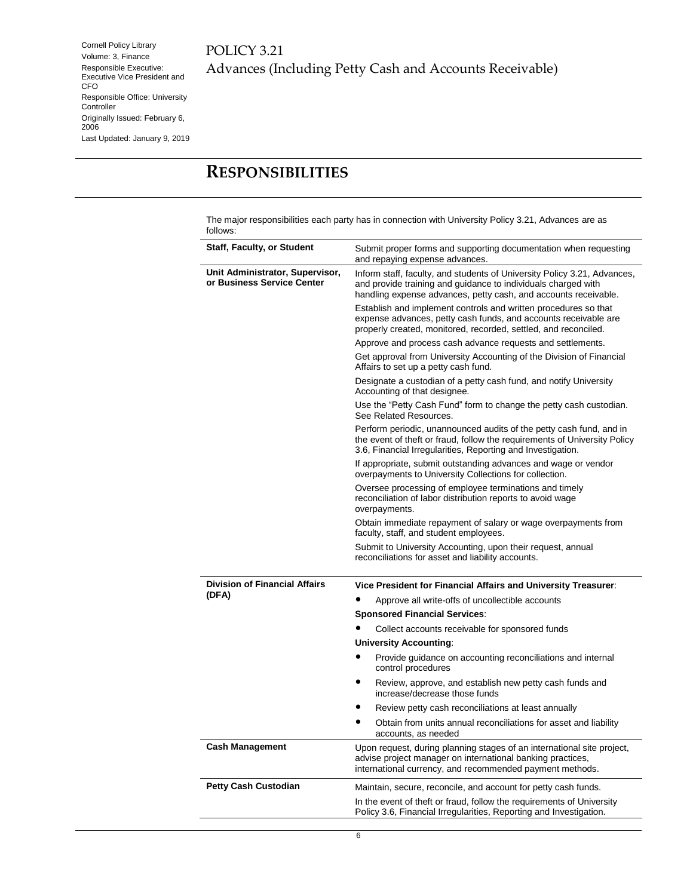#### POLICY 3.21 Advances (Including Petty Cash and Accounts Receivable)

### <span id="page-5-0"></span>**RESPONSIBILITIES**

The major responsibilities each party has in connection with University Policy 3.21, Advances are as follows:

| <b>Staff, Faculty, or Student</b>                             | Submit proper forms and supporting documentation when requesting<br>and repaying expense advances.                                                                                                              |  |  |
|---------------------------------------------------------------|-----------------------------------------------------------------------------------------------------------------------------------------------------------------------------------------------------------------|--|--|
| Unit Administrator, Supervisor,<br>or Business Service Center | Inform staff, faculty, and students of University Policy 3.21, Advances,<br>and provide training and guidance to individuals charged with<br>handling expense advances, petty cash, and accounts receivable.    |  |  |
|                                                               | Establish and implement controls and written procedures so that<br>expense advances, petty cash funds, and accounts receivable are<br>properly created, monitored, recorded, settled, and reconciled.           |  |  |
|                                                               | Approve and process cash advance requests and settlements.                                                                                                                                                      |  |  |
|                                                               | Get approval from University Accounting of the Division of Financial<br>Affairs to set up a petty cash fund.                                                                                                    |  |  |
|                                                               | Designate a custodian of a petty cash fund, and notify University<br>Accounting of that designee.                                                                                                               |  |  |
|                                                               | Use the "Petty Cash Fund" form to change the petty cash custodian.<br>See Related Resources.                                                                                                                    |  |  |
|                                                               | Perform periodic, unannounced audits of the petty cash fund, and in<br>the event of theft or fraud, follow the requirements of University Policy<br>3.6, Financial Irregularities, Reporting and Investigation. |  |  |
|                                                               | If appropriate, submit outstanding advances and wage or vendor<br>overpayments to University Collections for collection.                                                                                        |  |  |
|                                                               | Oversee processing of employee terminations and timely<br>reconciliation of labor distribution reports to avoid wage<br>overpayments.                                                                           |  |  |
|                                                               | Obtain immediate repayment of salary or wage overpayments from<br>faculty, staff, and student employees.                                                                                                        |  |  |
|                                                               | Submit to University Accounting, upon their request, annual                                                                                                                                                     |  |  |
|                                                               | reconciliations for asset and liability accounts.                                                                                                                                                               |  |  |
| <b>Division of Financial Affairs</b>                          | Vice President for Financial Affairs and University Treasurer:                                                                                                                                                  |  |  |
| (DFA)                                                         | Approve all write-offs of uncollectible accounts                                                                                                                                                                |  |  |
|                                                               | <b>Sponsored Financial Services:</b>                                                                                                                                                                            |  |  |
|                                                               | Collect accounts receivable for sponsored funds                                                                                                                                                                 |  |  |
|                                                               | <b>University Accounting:</b>                                                                                                                                                                                   |  |  |
|                                                               | Provide guidance on accounting reconciliations and internal<br>control procedures                                                                                                                               |  |  |
|                                                               | Review, approve, and establish new petty cash funds and<br>increase/decrease those funds                                                                                                                        |  |  |
|                                                               | Review petty cash reconciliations at least annually                                                                                                                                                             |  |  |
|                                                               | Obtain from units annual reconciliations for asset and liability<br>accounts, as needed                                                                                                                         |  |  |
| <b>Cash Management</b>                                        | Upon request, during planning stages of an international site project,<br>advise project manager on international banking practices,<br>international currency, and recommended payment methods.                |  |  |
| <b>Petty Cash Custodian</b>                                   | Maintain, secure, reconcile, and account for petty cash funds.                                                                                                                                                  |  |  |
|                                                               | In the event of theft or fraud, follow the requirements of University<br>Policy 3.6, Financial Irregularities, Reporting and Investigation.                                                                     |  |  |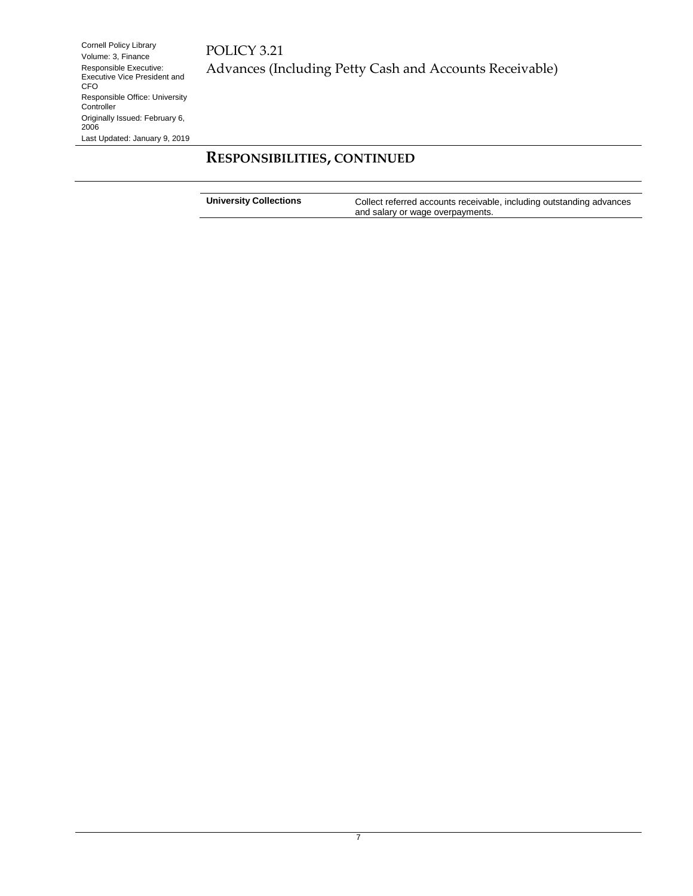### **RESPONSIBILITIES, CONTINUED**

| <b>University Collections</b> | Collect referred accounts receivable, including outstanding advances |
|-------------------------------|----------------------------------------------------------------------|
|                               | and salary or wage overpayments.                                     |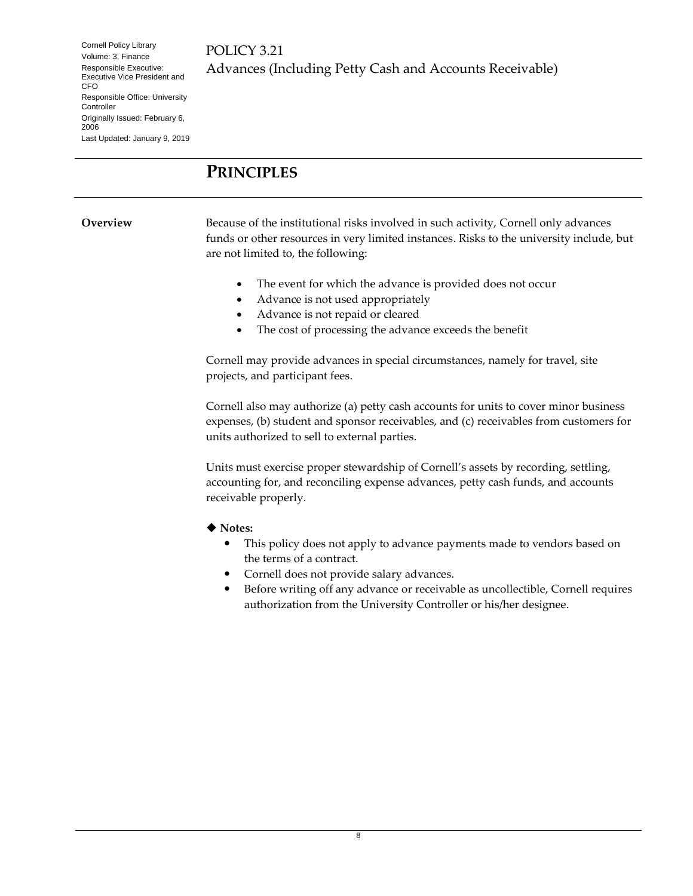#### <span id="page-7-0"></span>**PRINCIPLES**

<span id="page-7-1"></span>**Overview** Because of the institutional risks involved in such activity, Cornell only advances funds or other resources in very limited instances. Risks to the university include, but are not limited to, the following:

- The event for which the advance is provided does not occur
- Advance is not used appropriately
- Advance is not repaid or cleared
- The cost of processing the advance exceeds the benefit

Cornell may provide advances in special circumstances, namely for travel, site projects, and participant fees.

Cornell also may authorize (a) petty cash accounts for units to cover minor business expenses, (b) student and sponsor receivables, and (c) receivables from customers for units authorized to sell to external parties.

Units must exercise proper stewardship of Cornell's assets by recording, settling, accounting for, and reconciling expense advances, petty cash funds, and accounts receivable properly.

**Notes:**

- This policy does not apply to advance payments made to vendors based on the terms of a contract.
- Cornell does not provide salary advances.
- Before writing off any advance or receivable as uncollectible, Cornell requires authorization from the University Controller or his/her designee.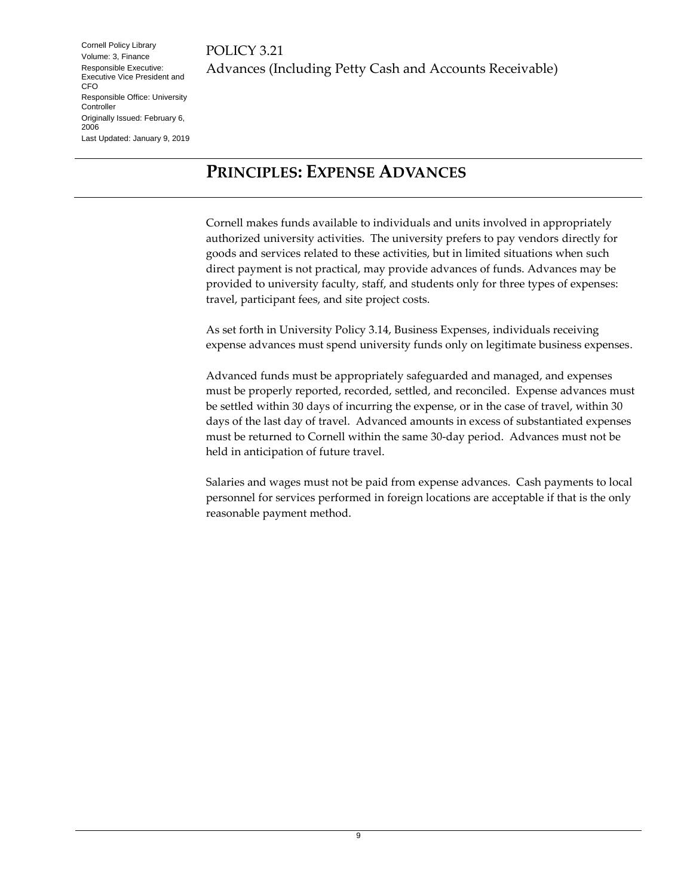### <span id="page-8-0"></span>**PRINCIPLES: EXPENSE ADVANCES**

Cornell makes funds available to individuals and units involved in appropriately authorized university activities. The university prefers to pay vendors directly for goods and services related to these activities, but in limited situations when such direct payment is not practical, may provide advances of funds. Advances may be provided to university faculty, staff, and students only for three types of expenses: travel, participant fees, and site project costs.

As set forth in University Policy 3.14, Business Expenses, individuals receiving expense advances must spend university funds only on legitimate business expenses.

Advanced funds must be appropriately safeguarded and managed, and expenses must be properly reported, recorded, settled, and reconciled. Expense advances must be settled within 30 days of incurring the expense, or in the case of travel, within 30 days of the last day of travel. Advanced amounts in excess of substantiated expenses must be returned to Cornell within the same 30-day period. Advances must not be held in anticipation of future travel.

Salaries and wages must not be paid from expense advances. Cash payments to local personnel for services performed in foreign locations are acceptable if that is the only reasonable payment method.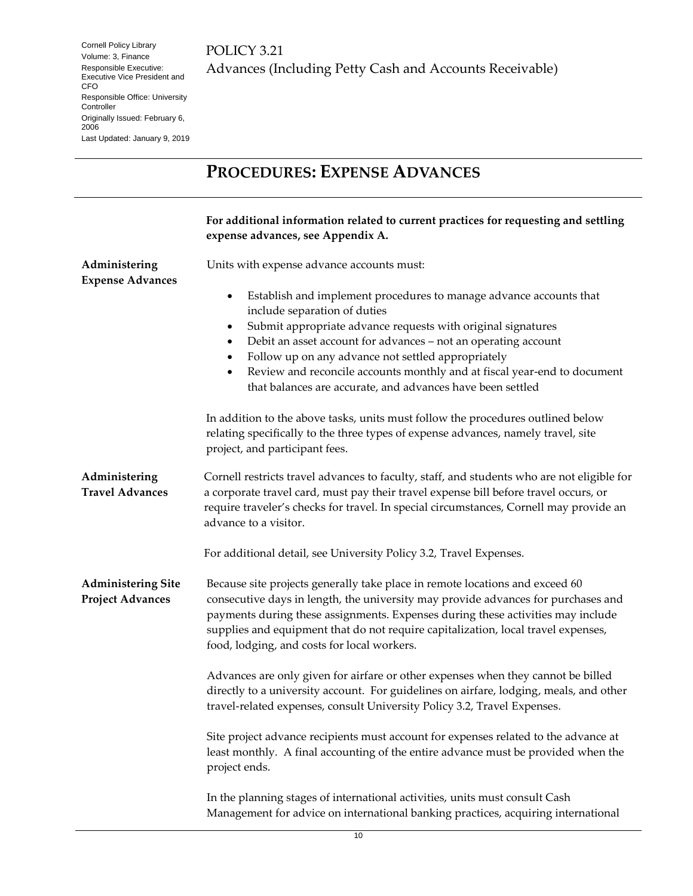## <span id="page-9-0"></span>**PROCEDURES: EXPENSE ADVANCES**

<span id="page-9-3"></span><span id="page-9-2"></span><span id="page-9-1"></span>

|                                                      | For additional information related to current practices for requesting and settling<br>expense advances, see Appendix A.                                                                                                                                                                                                                                                                                   |
|------------------------------------------------------|------------------------------------------------------------------------------------------------------------------------------------------------------------------------------------------------------------------------------------------------------------------------------------------------------------------------------------------------------------------------------------------------------------|
| Administering<br><b>Expense Advances</b>             | Units with expense advance accounts must:<br>Establish and implement procedures to manage advance accounts that<br>$\bullet$                                                                                                                                                                                                                                                                               |
|                                                      | include separation of duties<br>Submit appropriate advance requests with original signatures<br>$\bullet$<br>Debit an asset account for advances - not an operating account<br>$\bullet$<br>Follow up on any advance not settled appropriately<br>٠<br>Review and reconcile accounts monthly and at fiscal year-end to document<br>$\bullet$<br>that balances are accurate, and advances have been settled |
|                                                      | In addition to the above tasks, units must follow the procedures outlined below<br>relating specifically to the three types of expense advances, namely travel, site<br>project, and participant fees.                                                                                                                                                                                                     |
| Administering<br><b>Travel Advances</b>              | Cornell restricts travel advances to faculty, staff, and students who are not eligible for<br>a corporate travel card, must pay their travel expense bill before travel occurs, or<br>require traveler's checks for travel. In special circumstances, Cornell may provide an<br>advance to a visitor.                                                                                                      |
|                                                      | For additional detail, see University Policy 3.2, Travel Expenses.                                                                                                                                                                                                                                                                                                                                         |
| <b>Administering Site</b><br><b>Project Advances</b> | Because site projects generally take place in remote locations and exceed 60<br>consecutive days in length, the university may provide advances for purchases and<br>payments during these assignments. Expenses during these activities may include<br>supplies and equipment that do not require capitalization, local travel expenses,<br>food, lodging, and costs for local workers.                   |
|                                                      | Advances are only given for airfare or other expenses when they cannot be billed<br>directly to a university account. For guidelines on airfare, lodging, meals, and other<br>travel-related expenses, consult University Policy 3.2, Travel Expenses.                                                                                                                                                     |
|                                                      | Site project advance recipients must account for expenses related to the advance at<br>least monthly. A final accounting of the entire advance must be provided when the<br>project ends.                                                                                                                                                                                                                  |
|                                                      | In the planning stages of international activities, units must consult Cash<br>Management for advice on international banking practices, acquiring international                                                                                                                                                                                                                                           |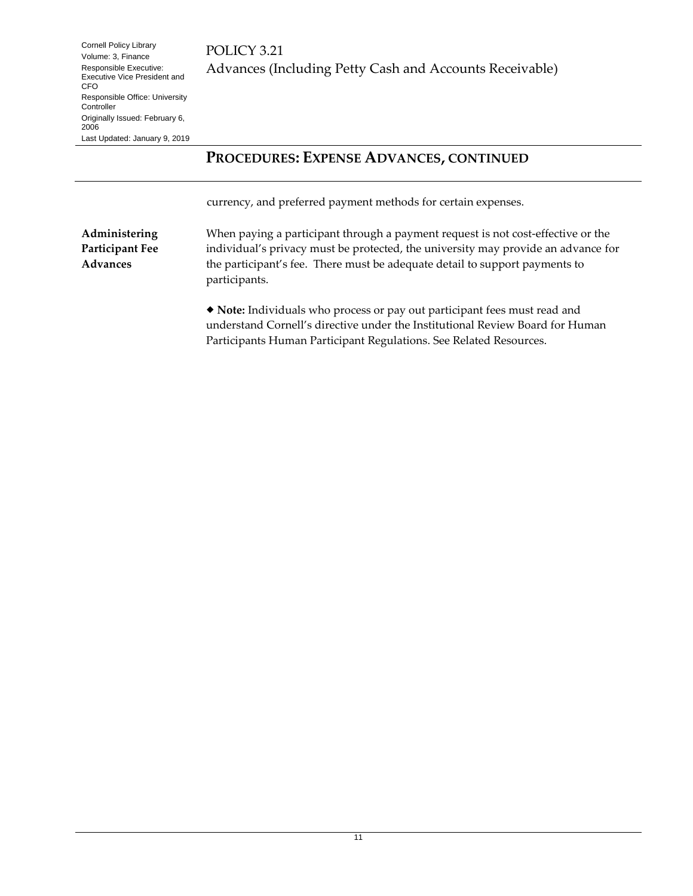#### **PROCEDURES: EXPENSE ADVANCES, CONTINUED**

currency, and preferred payment methods for certain expenses.

<span id="page-10-0"></span>**Administering Participant Fee Advances**

When paying a participant through a payment request is not cost-effective or the individual's privacy must be protected, the university may provide an advance for the participant's fee. There must be adequate detail to support payments to participants.

 **Note:** Individuals who process or pay out participant fees must read and understand Cornell's directive under the Institutional Review Board for Human Participants Human Participant Regulations. See Related Resources.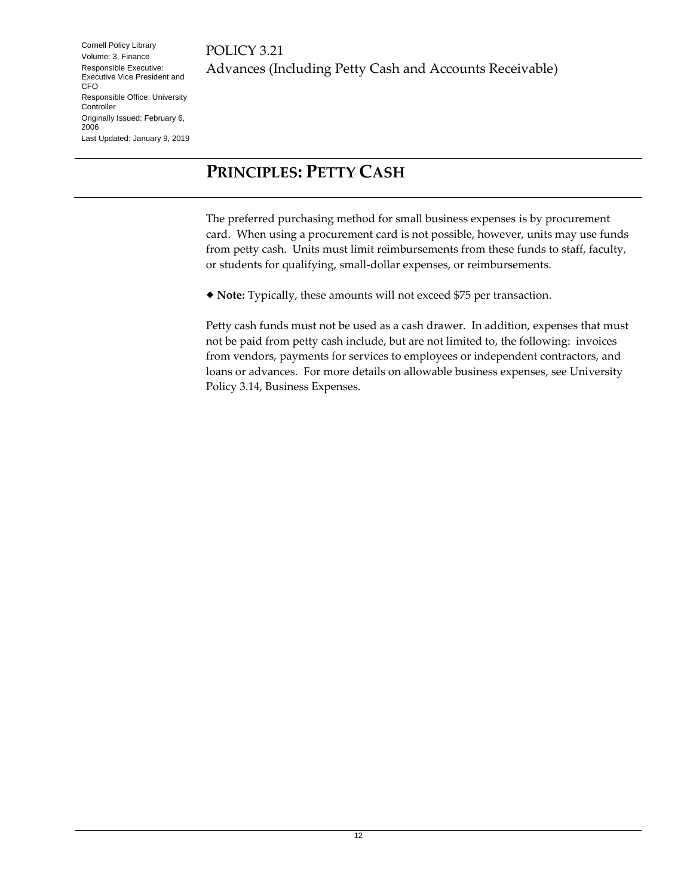## <span id="page-11-0"></span>**PRINCIPLES: PETTY CASH**

The preferred purchasing method for small business expenses is by procurement card. When using a procurement card is not possible, however, units may use funds from petty cash. Units must limit reimbursements from these funds to staff, faculty, or students for qualifying, small-dollar expenses, or reimbursements.

**Note:** Typically, these amounts will not exceed \$75 per transaction.

Petty cash funds must not be used as a cash drawer. In addition, expenses that must not be paid from petty cash include, but are not limited to, the following: invoices from vendors, payments for services to employees or independent contractors, and loans or advances. For more details on allowable business expenses, see University Policy 3.14, Business Expenses.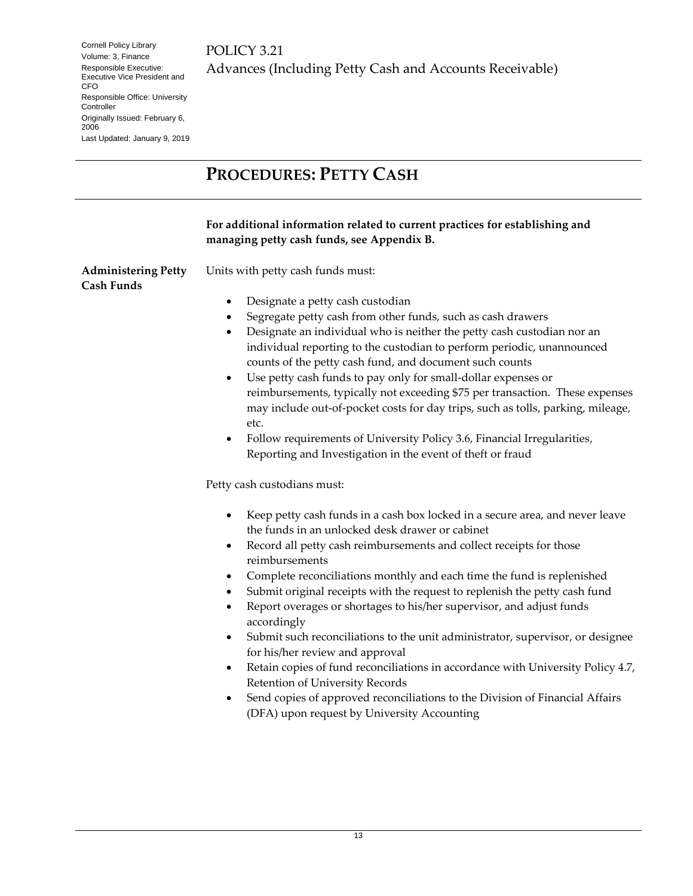<span id="page-12-1"></span><span id="page-12-0"></span>

|                                                 | <b>PROCEDURES: PETTY CASH</b>                                                                                                                                                                                                                                                                                                                                                                                                                                                                                                                                                                                                                                                                                                                                                                                                                                                                                                                                                                                                                                                                                                                                                                                                                                                                                                                                                                                                                                                                                                                                                                                                                                                                                                               |  |  |
|-------------------------------------------------|---------------------------------------------------------------------------------------------------------------------------------------------------------------------------------------------------------------------------------------------------------------------------------------------------------------------------------------------------------------------------------------------------------------------------------------------------------------------------------------------------------------------------------------------------------------------------------------------------------------------------------------------------------------------------------------------------------------------------------------------------------------------------------------------------------------------------------------------------------------------------------------------------------------------------------------------------------------------------------------------------------------------------------------------------------------------------------------------------------------------------------------------------------------------------------------------------------------------------------------------------------------------------------------------------------------------------------------------------------------------------------------------------------------------------------------------------------------------------------------------------------------------------------------------------------------------------------------------------------------------------------------------------------------------------------------------------------------------------------------------|--|--|
|                                                 | For additional information related to current practices for establishing and<br>managing petty cash funds, see Appendix B.                                                                                                                                                                                                                                                                                                                                                                                                                                                                                                                                                                                                                                                                                                                                                                                                                                                                                                                                                                                                                                                                                                                                                                                                                                                                                                                                                                                                                                                                                                                                                                                                                  |  |  |
| <b>Administering Petty</b><br><b>Cash Funds</b> | Units with petty cash funds must:<br>Designate a petty cash custodian<br>$\bullet$<br>Segregate petty cash from other funds, such as cash drawers<br>Designate an individual who is neither the petty cash custodian nor an<br>٠<br>individual reporting to the custodian to perform periodic, unannounced<br>counts of the petty cash fund, and document such counts<br>Use petty cash funds to pay only for small-dollar expenses or<br>$\bullet$<br>reimbursements, typically not exceeding \$75 per transaction. These expenses<br>may include out-of-pocket costs for day trips, such as tolls, parking, mileage,<br>etc.<br>Follow requirements of University Policy 3.6, Financial Irregularities,<br>٠<br>Reporting and Investigation in the event of theft or fraud<br>Petty cash custodians must:<br>Keep petty cash funds in a cash box locked in a secure area, and never leave<br>٠<br>the funds in an unlocked desk drawer or cabinet<br>Record all petty cash reimbursements and collect receipts for those<br>$\bullet$<br>reimbursements<br>Complete reconciliations monthly and each time the fund is replenished<br>٠<br>Submit original receipts with the request to replenish the petty cash fund<br>Report overages or shortages to his/her supervisor, and adjust funds<br>$\bullet$<br>accordingly<br>Submit such reconciliations to the unit administrator, supervisor, or designee<br>$\bullet$<br>for his/her review and approval<br>Retain copies of fund reconciliations in accordance with University Policy 4.7,<br>$\bullet$<br>Retention of University Records<br>Send copies of approved reconciliations to the Division of Financial Affairs<br>$\bullet$<br>(DFA) upon request by University Accounting |  |  |
|                                                 |                                                                                                                                                                                                                                                                                                                                                                                                                                                                                                                                                                                                                                                                                                                                                                                                                                                                                                                                                                                                                                                                                                                                                                                                                                                                                                                                                                                                                                                                                                                                                                                                                                                                                                                                             |  |  |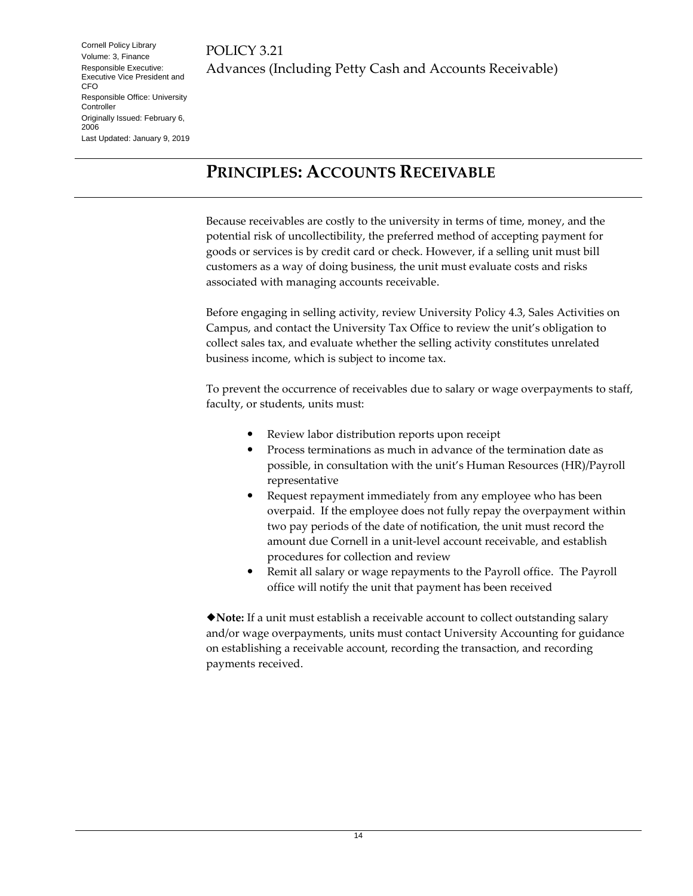### <span id="page-13-0"></span>**PRINCIPLES: ACCOUNTS RECEIVABLE**

Because receivables are costly to the university in terms of time, money, and the potential risk of uncollectibility, the preferred method of accepting payment for goods or services is by credit card or check. However, if a selling unit must bill customers as a way of doing business, the unit must evaluate costs and risks associated with managing accounts receivable.

Before engaging in selling activity, review University Policy 4.3, Sales Activities on Campus, and contact the University Tax Office to review the unit's obligation to collect sales tax, and evaluate whether the selling activity constitutes unrelated business income, which is subject to income tax.

To prevent the occurrence of receivables due to salary or wage overpayments to staff, faculty, or students, units must:

- Review labor distribution reports upon receipt
- Process terminations as much in advance of the termination date as possible, in consultation with the unit's Human Resources (HR)/Payroll representative
- Request repayment immediately from any employee who has been overpaid. If the employee does not fully repay the overpayment within two pay periods of the date of notification, the unit must record the amount due Cornell in a unit-level account receivable, and establish procedures for collection and review
- Remit all salary or wage repayments to the Payroll office. The Payroll office will notify the unit that payment has been received

**Note:** If a unit must establish a receivable account to collect outstanding salary and/or wage overpayments, units must contact University Accounting for guidance on establishing a receivable account, recording the transaction, and recording payments received.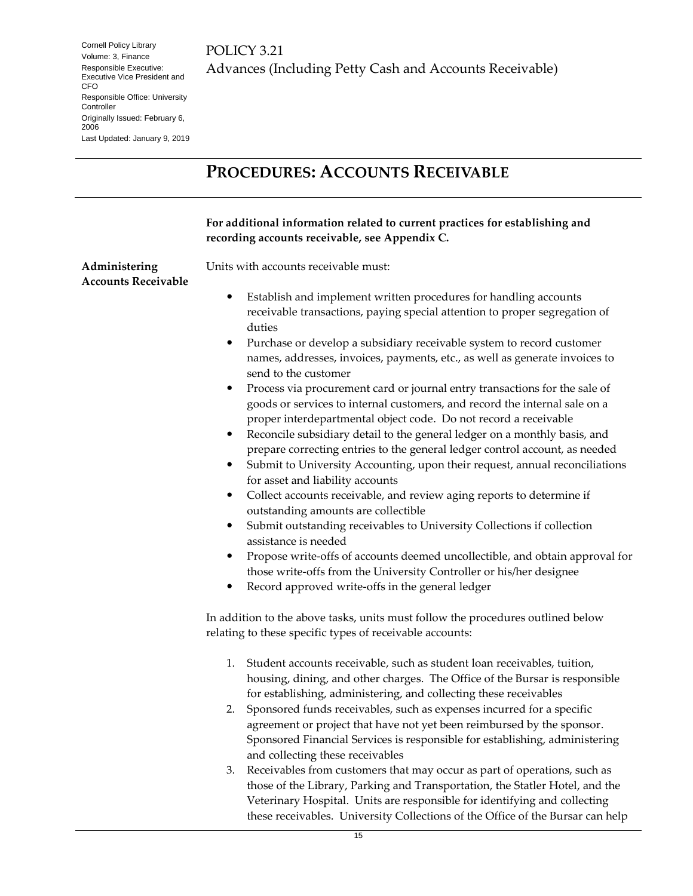POLICY 3.21 Advances (Including Petty Cash and Accounts Receivable)

## <span id="page-14-0"></span>**PROCEDURES: ACCOUNTS RECEIVABLE**

<span id="page-14-1"></span>

|                                             | For additional information related to current practices for establishing and<br>recording accounts receivable, see Appendix C.                                                                                                                                                                                                                                                                                                                                                                                                                                                                                                                                                                                                                                                                                                                                                                                                                                                                                                                                                                                                                                                                                                                                                                                                                                               |
|---------------------------------------------|------------------------------------------------------------------------------------------------------------------------------------------------------------------------------------------------------------------------------------------------------------------------------------------------------------------------------------------------------------------------------------------------------------------------------------------------------------------------------------------------------------------------------------------------------------------------------------------------------------------------------------------------------------------------------------------------------------------------------------------------------------------------------------------------------------------------------------------------------------------------------------------------------------------------------------------------------------------------------------------------------------------------------------------------------------------------------------------------------------------------------------------------------------------------------------------------------------------------------------------------------------------------------------------------------------------------------------------------------------------------------|
| Administering<br><b>Accounts Receivable</b> | Units with accounts receivable must:<br>Establish and implement written procedures for handling accounts<br>receivable transactions, paying special attention to proper segregation of<br>duties<br>Purchase or develop a subsidiary receivable system to record customer<br>٠<br>names, addresses, invoices, payments, etc., as well as generate invoices to<br>send to the customer<br>Process via procurement card or journal entry transactions for the sale of<br>٠<br>goods or services to internal customers, and record the internal sale on a<br>proper interdepartmental object code. Do not record a receivable<br>Reconcile subsidiary detail to the general ledger on a monthly basis, and<br>٠<br>prepare correcting entries to the general ledger control account, as needed<br>Submit to University Accounting, upon their request, annual reconciliations<br>٠<br>for asset and liability accounts<br>Collect accounts receivable, and review aging reports to determine if<br>٠<br>outstanding amounts are collectible<br>Submit outstanding receivables to University Collections if collection<br>٠<br>assistance is needed<br>Propose write-offs of accounts deemed uncollectible, and obtain approval for<br>$\bullet$<br>those write-offs from the University Controller or his/her designee<br>Record approved write-offs in the general ledger<br>٠ |
|                                             | In addition to the above tasks, units must follow the procedures outlined below<br>relating to these specific types of receivable accounts:<br>Student accounts receivable, such as student loan receivables, tuition,<br>1.<br>housing, dining, and other charges. The Office of the Bursar is responsible<br>for establishing, administering, and collecting these receivables<br>Sponsored funds receivables, such as expenses incurred for a specific<br>agreement or project that have not yet been reimbursed by the sponsor.<br>Sponsored Financial Services is responsible for establishing, administering<br>and collecting these receivables<br>Receivables from customers that may occur as part of operations, such as<br>3.<br>those of the Library, Parking and Transportation, the Statler Hotel, and the<br>Veterinary Hospital. Units are responsible for identifying and collecting<br>these receivables. University Collections of the Office of the Bursar can help                                                                                                                                                                                                                                                                                                                                                                                      |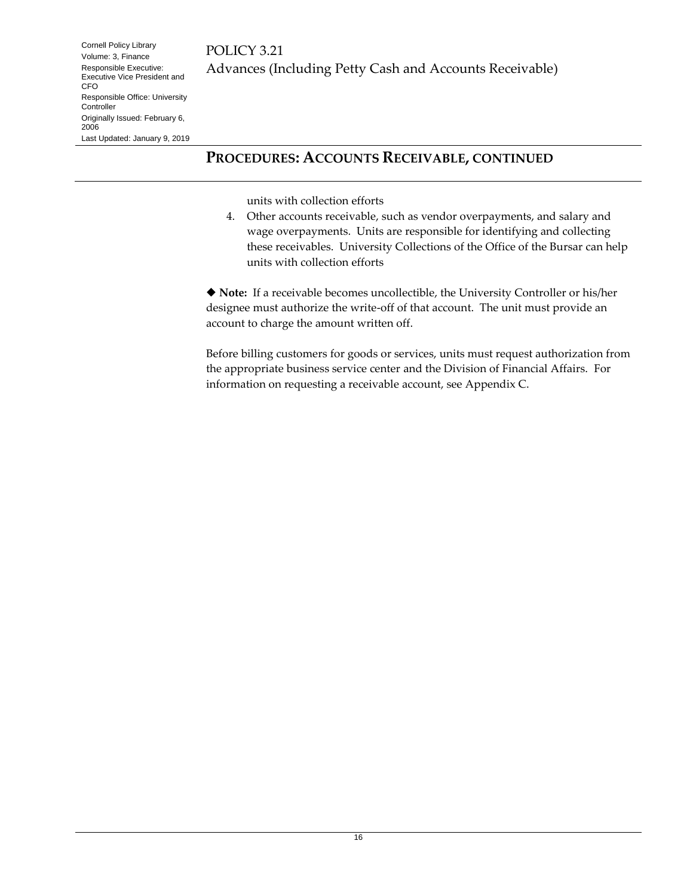#### **PROCEDURES: ACCOUNTS RECEIVABLE, CONTINUED**

units with collection efforts

4. Other accounts receivable, such as vendor overpayments, and salary and wage overpayments. Units are responsible for identifying and collecting these receivables. University Collections of the Office of the Bursar can help units with collection efforts

 **Note:** If a receivable becomes uncollectible, the University Controller or his/her designee must authorize the write-off of that account. The unit must provide an account to charge the amount written off.

Before billing customers for goods or services, units must request authorization from the appropriate business service center and the Division of Financial Affairs. For information on requesting a receivable account, see Appendix C.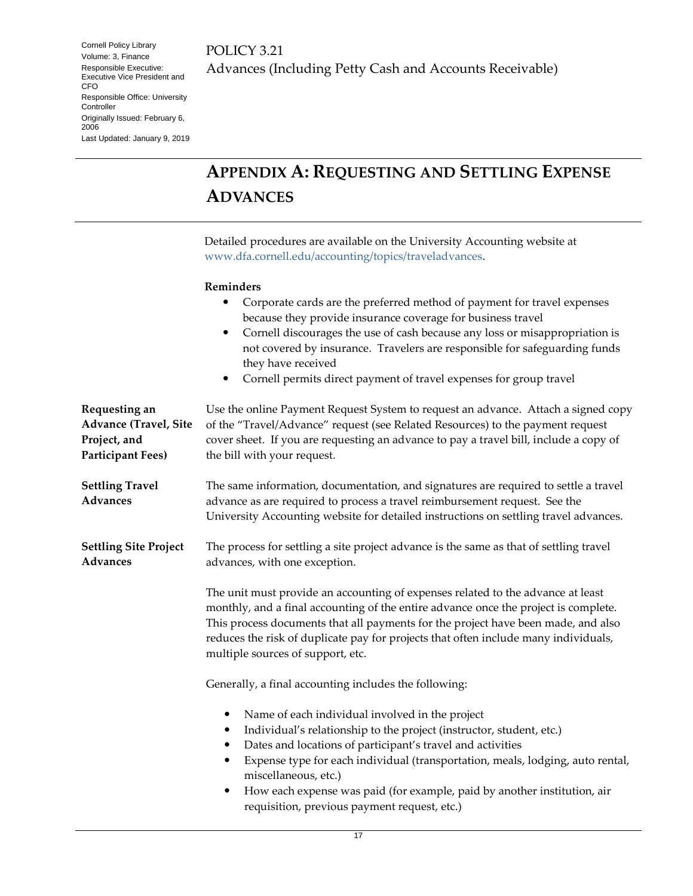POLICY 3.21 Advances (Including Petty Cash and Accounts Receivable)

## <span id="page-16-0"></span>**APPENDIX A: REQUESTING AND SETTLING EXPENSE ADVANCES**

Detailed procedures are available on the University Accounting website at [www.dfa.cornell.edu/accounting/topics/traveladvances.](http://www.dfa.cornell.edu/accounting/topics/traveladvances)

#### **Reminders**

<span id="page-16-3"></span><span id="page-16-2"></span><span id="page-16-1"></span>

|                                                                                           | Corporate cards are the preferred method of payment for travel expenses<br>٠<br>because they provide insurance coverage for business travel<br>Cornell discourages the use of cash because any loss or misappropriation is<br>$\bullet$<br>not covered by insurance. Travelers are responsible for safeguarding funds<br>they have received<br>Cornell permits direct payment of travel expenses for group travel<br>٠                                             |  |  |  |
|-------------------------------------------------------------------------------------------|--------------------------------------------------------------------------------------------------------------------------------------------------------------------------------------------------------------------------------------------------------------------------------------------------------------------------------------------------------------------------------------------------------------------------------------------------------------------|--|--|--|
| Requesting an<br><b>Advance (Travel, Site</b><br>Project, and<br><b>Participant Fees)</b> | Use the online Payment Request System to request an advance. Attach a signed copy<br>of the "Travel/Advance" request (see Related Resources) to the payment request<br>cover sheet. If you are requesting an advance to pay a travel bill, include a copy of<br>the bill with your request.                                                                                                                                                                        |  |  |  |
| <b>Settling Travel</b><br><b>Advances</b>                                                 | The same information, documentation, and signatures are required to settle a travel<br>advance as are required to process a travel reimbursement request. See the<br>University Accounting website for detailed instructions on settling travel advances.                                                                                                                                                                                                          |  |  |  |
| <b>Settling Site Project</b><br><b>Advances</b>                                           | The process for settling a site project advance is the same as that of settling travel<br>advances, with one exception.                                                                                                                                                                                                                                                                                                                                            |  |  |  |
|                                                                                           | The unit must provide an accounting of expenses related to the advance at least<br>monthly, and a final accounting of the entire advance once the project is complete.<br>This process documents that all payments for the project have been made, and also<br>reduces the risk of duplicate pay for projects that often include many individuals,<br>multiple sources of support, etc.                                                                            |  |  |  |
|                                                                                           | Generally, a final accounting includes the following:                                                                                                                                                                                                                                                                                                                                                                                                              |  |  |  |
|                                                                                           | Name of each individual involved in the project<br>$\bullet$<br>Individual's relationship to the project (instructor, student, etc.)<br>$\bullet$<br>Dates and locations of participant's travel and activities<br>Expense type for each individual (transportation, meals, lodging, auto rental,<br>$\bullet$<br>miscellaneous, etc.)<br>How each expense was paid (for example, paid by another institution, air<br>requisition, previous payment request, etc.) |  |  |  |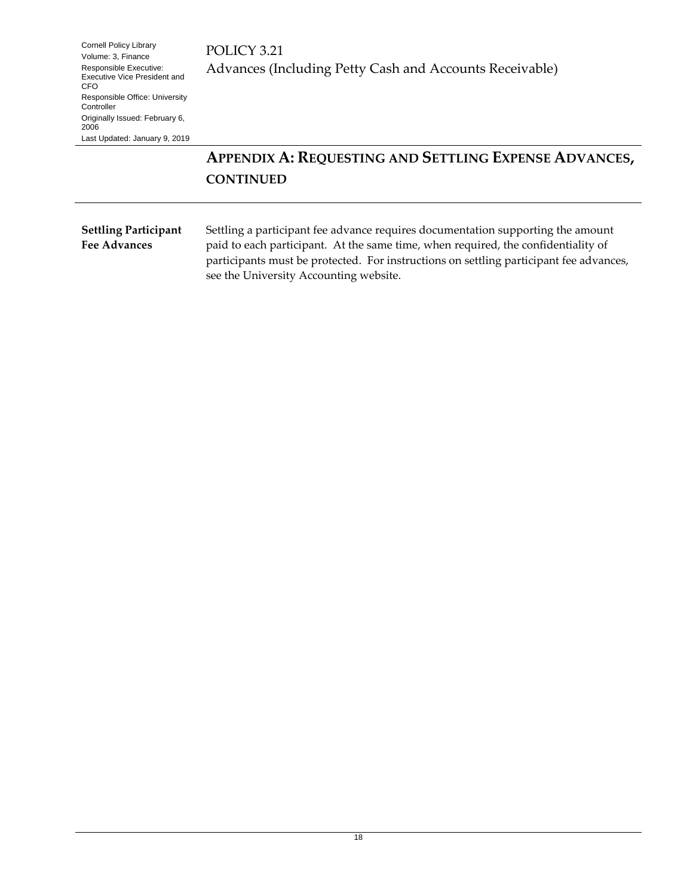POLICY 3.21 Advances (Including Petty Cash and Accounts Receivable)

### **APPENDIX A: REQUESTING AND SETTLING EXPENSE ADVANCES, CONTINUED**

#### <span id="page-17-0"></span>**Settling Participant Fee Advances**

Settling a participant fee advance requires documentation supporting the amount paid to each participant. At the same time, when required, the confidentiality of participants must be protected. For instructions on settling participant fee advances, see the University Accounting website.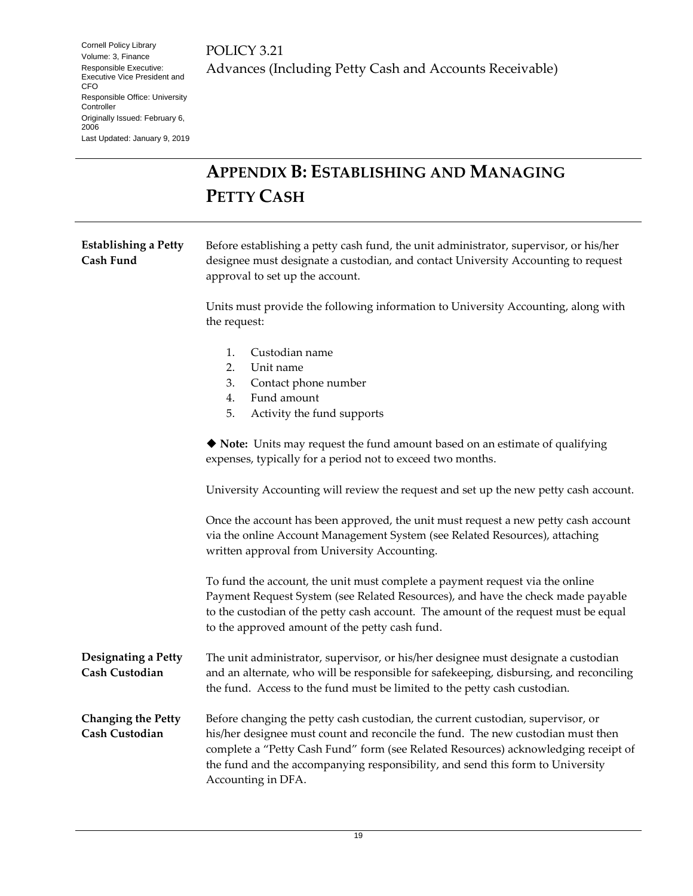POLICY 3.21 Advances (Including Petty Cash and Accounts Receivable)

## <span id="page-18-0"></span>**APPENDIX B: ESTABLISHING AND MANAGING PETTY CASH**

<span id="page-18-1"></span>

| <b>Establishing a Petty</b><br>Cash Fund           | Before establishing a petty cash fund, the unit administrator, supervisor, or his/her<br>designee must designate a custodian, and contact University Accounting to request<br>approval to set up the account.                                                                                                                                                    |  |  |  |
|----------------------------------------------------|------------------------------------------------------------------------------------------------------------------------------------------------------------------------------------------------------------------------------------------------------------------------------------------------------------------------------------------------------------------|--|--|--|
|                                                    | Units must provide the following information to University Accounting, along with<br>the request:                                                                                                                                                                                                                                                                |  |  |  |
|                                                    | Custodian name<br>1.<br>2.<br>Unit name<br>3.<br>Contact phone number<br>Fund amount<br>4.<br>5.<br>Activity the fund supports                                                                                                                                                                                                                                   |  |  |  |
|                                                    | • Note: Units may request the fund amount based on an estimate of qualifying<br>expenses, typically for a period not to exceed two months.                                                                                                                                                                                                                       |  |  |  |
|                                                    | University Accounting will review the request and set up the new petty cash account.                                                                                                                                                                                                                                                                             |  |  |  |
|                                                    | Once the account has been approved, the unit must request a new petty cash account<br>via the online Account Management System (see Related Resources), attaching<br>written approval from University Accounting.                                                                                                                                                |  |  |  |
|                                                    | To fund the account, the unit must complete a payment request via the online<br>Payment Request System (see Related Resources), and have the check made payable<br>to the custodian of the petty cash account. The amount of the request must be equal<br>to the approved amount of the petty cash fund.                                                         |  |  |  |
| Designating a Petty<br>Cash Custodian              | The unit administrator, supervisor, or his/her designee must designate a custodian<br>and an alternate, who will be responsible for safekeeping, disbursing, and reconciling<br>the fund. Access to the fund must be limited to the petty cash custodian.                                                                                                        |  |  |  |
| <b>Changing the Petty</b><br><b>Cash Custodian</b> | Before changing the petty cash custodian, the current custodian, supervisor, or<br>his/her designee must count and reconcile the fund. The new custodian must then<br>complete a "Petty Cash Fund" form (see Related Resources) acknowledging receipt of<br>the fund and the accompanying responsibility, and send this form to University<br>Accounting in DFA. |  |  |  |

<span id="page-18-3"></span><span id="page-18-2"></span>19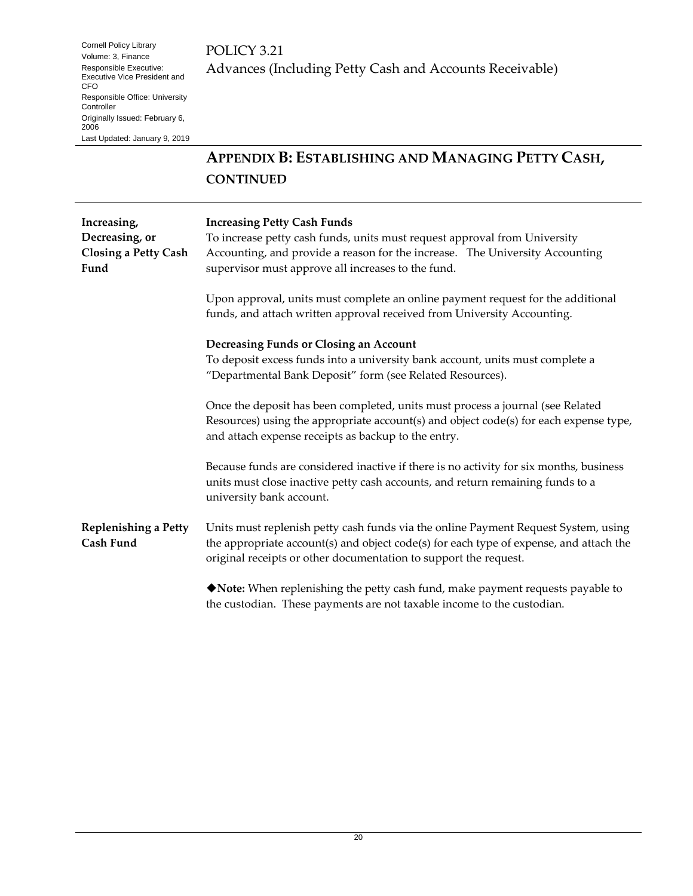### POLICY 3.21 Advances (Including Petty Cash and Accounts Receivable)

### **APPENDIX B: ESTABLISHING AND MANAGING PETTY CASH, CONTINUED**

<span id="page-19-1"></span><span id="page-19-0"></span>

| Increasing,<br>Decreasing, or<br><b>Closing a Petty Cash</b><br>Fund | <b>Increasing Petty Cash Funds</b><br>To increase petty cash funds, units must request approval from University<br>Accounting, and provide a reason for the increase. The University Accounting<br>supervisor must approve all increases to the fund. |  |  |
|----------------------------------------------------------------------|-------------------------------------------------------------------------------------------------------------------------------------------------------------------------------------------------------------------------------------------------------|--|--|
|                                                                      | Upon approval, units must complete an online payment request for the additional<br>funds, and attach written approval received from University Accounting.                                                                                            |  |  |
|                                                                      | Decreasing Funds or Closing an Account<br>To deposit excess funds into a university bank account, units must complete a<br>"Departmental Bank Deposit" form (see Related Resources).                                                                  |  |  |
|                                                                      | Once the deposit has been completed, units must process a journal (see Related<br>Resources) using the appropriate account(s) and object code(s) for each expense type,<br>and attach expense receipts as backup to the entry.                        |  |  |
|                                                                      | Because funds are considered inactive if there is no activity for six months, business<br>units must close inactive petty cash accounts, and return remaining funds to a<br>university bank account.                                                  |  |  |
| <b>Replenishing a Petty</b><br>Cash Fund                             | Units must replenish petty cash funds via the online Payment Request System, using<br>the appropriate account(s) and object code(s) for each type of expense, and attach the<br>original receipts or other documentation to support the request.      |  |  |
|                                                                      | ◆ Note: When replenishing the petty cash fund, make payment requests payable to<br>the custodian. These payments are not taxable income to the custodian.                                                                                             |  |  |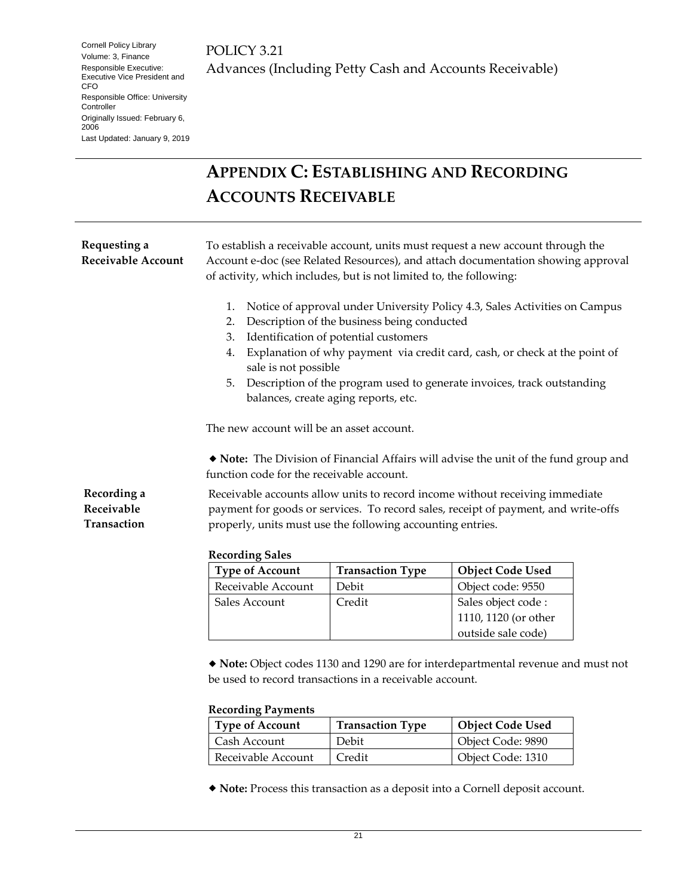## <span id="page-20-0"></span>**APPENDIX C: ESTABLISHING AND RECORDING ACCOUNTS RECEIVABLE**

<span id="page-20-1"></span>

|                                           | <b>Recording Sales</b><br><b>Type of Account</b>                                                                                                                                                                                          | <b>Transaction Type</b>                                                                                                   | Object Code Used |  |
|-------------------------------------------|-------------------------------------------------------------------------------------------------------------------------------------------------------------------------------------------------------------------------------------------|---------------------------------------------------------------------------------------------------------------------------|------------------|--|
| Receivable<br>Transaction                 | payment for goods or services. To record sales, receipt of payment, and write-offs<br>properly, units must use the following accounting entries.                                                                                          |                                                                                                                           |                  |  |
| Recording a                               | Receivable accounts allow units to record income without receiving immediate                                                                                                                                                              |                                                                                                                           |                  |  |
|                                           | function code for the receivable account.                                                                                                                                                                                                 | • Note: The Division of Financial Affairs will advise the unit of the fund group and                                      |                  |  |
|                                           | The new account will be an asset account.                                                                                                                                                                                                 |                                                                                                                           |                  |  |
|                                           | sale is not possible<br>Description of the program used to generate invoices, track outstanding<br>5.<br>balances, create aging reports, etc.                                                                                             |                                                                                                                           |                  |  |
|                                           | Explanation of why payment via credit card, cash, or check at the point of<br>4.                                                                                                                                                          |                                                                                                                           |                  |  |
|                                           | 3.                                                                                                                                                                                                                                        | Identification of potential customers                                                                                     |                  |  |
|                                           | 1.<br>2.                                                                                                                                                                                                                                  | Notice of approval under University Policy 4.3, Sales Activities on Campus<br>Description of the business being conducted |                  |  |
| Requesting a<br><b>Receivable Account</b> | To establish a receivable account, units must request a new account through the<br>Account e-doc (see Related Resources), and attach documentation showing approval<br>of activity, which includes, but is not limited to, the following: |                                                                                                                           |                  |  |
|                                           |                                                                                                                                                                                                                                           |                                                                                                                           |                  |  |

<span id="page-20-2"></span>

| <b>Type of Account</b> | <b>Transaction Type</b> | <b>Object Code Used</b> |
|------------------------|-------------------------|-------------------------|
| Receivable Account     | Debit                   | Object code: 9550       |
| Sales Account          | Credit                  | Sales object code :     |
|                        |                         | 1110, 1120 (or other    |
|                        |                         | outside sale code)      |

 **Note:** Object codes 1130 and 1290 are for interdepartmental revenue and must not be used to record transactions in a receivable account.

#### **Recording Payments**

| <b>Type of Account</b> | <b>Transaction Type</b> | <b>Object Code Used</b> |
|------------------------|-------------------------|-------------------------|
| Cash Account           | Debit                   | Object Code: 9890       |
| Receivable Account     | Credit                  | Object Code: 1310       |

**Note:** Process this transaction as a deposit into a Cornell deposit account.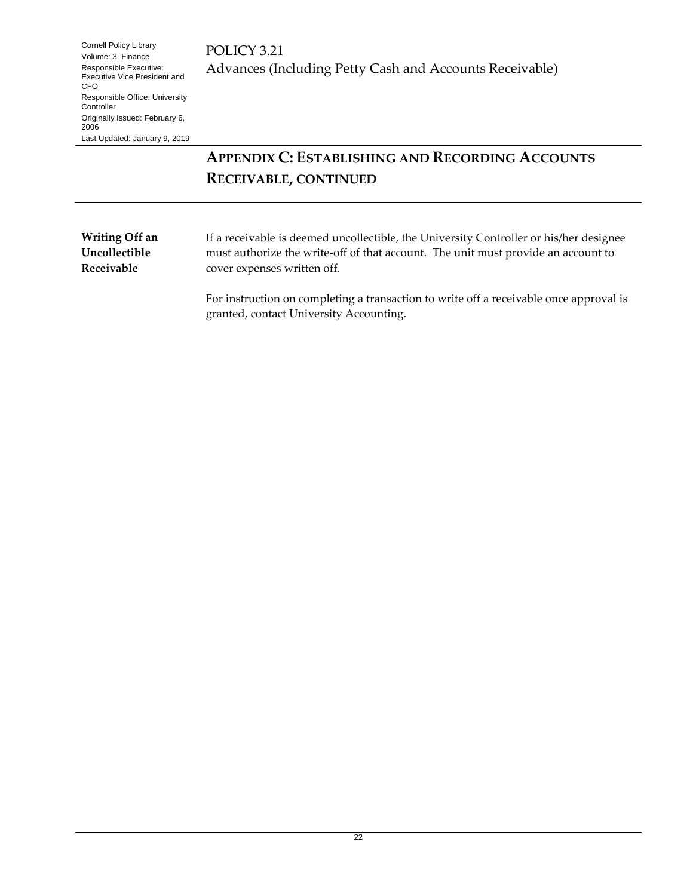### **APPENDIX C: ESTABLISHING AND RECORDING ACCOUNTS RECEIVABLE, CONTINUED**

<span id="page-21-0"></span>**Writing Off an Uncollectible Receivable**

If a receivable is deemed uncollectible, the University Controller or his/her designee must authorize the write-off of that account. The unit must provide an account to cover expenses written off.

For instruction on completing a transaction to write off a receivable once approval is granted, contact University Accounting.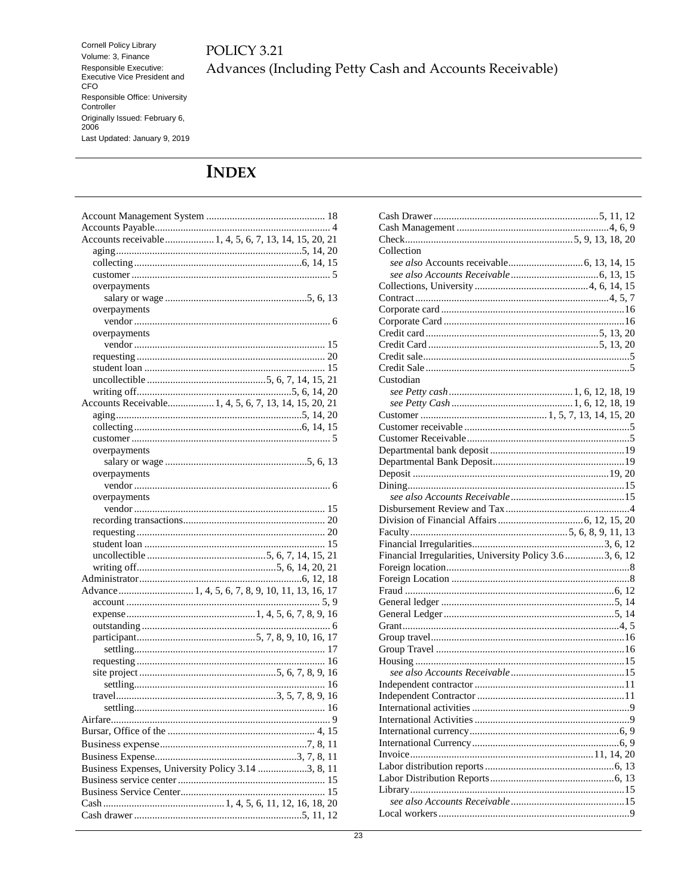### POLICY 3.21 Advances (Including Petty Cash and Accounts Receivable)

### <span id="page-22-0"></span>**INDEX**

| Accounts receivable 1, 4, 5, 6, 7, 13, 14, 15, 20, 21 |
|-------------------------------------------------------|
|                                                       |
|                                                       |
|                                                       |
| overpayments                                          |
|                                                       |
| overpayments                                          |
|                                                       |
| overpayments                                          |
|                                                       |
|                                                       |
|                                                       |
|                                                       |
|                                                       |
|                                                       |
| Accounts Receivable 1, 4, 5, 6, 7, 13, 14, 15, 20, 21 |
|                                                       |
|                                                       |
|                                                       |
| overpayments                                          |
|                                                       |
| overpayments                                          |
|                                                       |
| overpayments                                          |
|                                                       |
|                                                       |
|                                                       |
|                                                       |
|                                                       |
|                                                       |
|                                                       |
|                                                       |
|                                                       |
|                                                       |
|                                                       |
|                                                       |
|                                                       |
|                                                       |
|                                                       |
|                                                       |
|                                                       |
|                                                       |
|                                                       |
|                                                       |
| Airfare                                               |
|                                                       |
|                                                       |
|                                                       |
|                                                       |
| Business Expenses, University Policy 3.14 3, 8, 11    |
|                                                       |
|                                                       |
|                                                       |

| Collection                                               |  |
|----------------------------------------------------------|--|
|                                                          |  |
|                                                          |  |
|                                                          |  |
|                                                          |  |
|                                                          |  |
|                                                          |  |
|                                                          |  |
|                                                          |  |
|                                                          |  |
|                                                          |  |
| Custodian                                                |  |
|                                                          |  |
|                                                          |  |
|                                                          |  |
|                                                          |  |
|                                                          |  |
|                                                          |  |
|                                                          |  |
|                                                          |  |
|                                                          |  |
|                                                          |  |
|                                                          |  |
|                                                          |  |
|                                                          |  |
|                                                          |  |
| Financial Irregularities, University Policy 3.6 3, 6, 12 |  |
|                                                          |  |
|                                                          |  |
|                                                          |  |
|                                                          |  |
|                                                          |  |
|                                                          |  |
|                                                          |  |
|                                                          |  |
|                                                          |  |
|                                                          |  |
|                                                          |  |
|                                                          |  |
|                                                          |  |
|                                                          |  |
|                                                          |  |
|                                                          |  |
|                                                          |  |
|                                                          |  |
|                                                          |  |
|                                                          |  |
|                                                          |  |
|                                                          |  |
|                                                          |  |